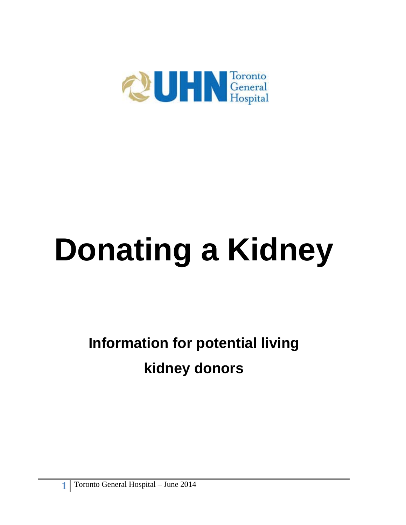

# **Donating a Kidney**

**Information for potential living kidney donors**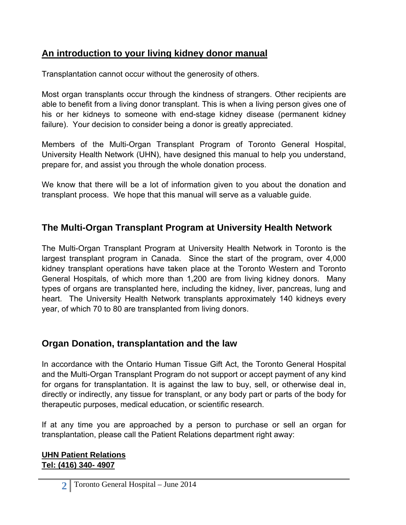# **An introduction to your living kidney donor manual**

Transplantation cannot occur without the generosity of others.

Most organ transplants occur through the kindness of strangers. Other recipients are able to benefit from a living donor transplant. This is when a living person gives one of his or her kidneys to someone with end-stage kidney disease (permanent kidney failure). Your decision to consider being a donor is greatly appreciated.

Members of the Multi-Organ Transplant Program of Toronto General Hospital, University Health Network (UHN), have designed this manual to help you understand, prepare for, and assist you through the whole donation process.

We know that there will be a lot of information given to you about the donation and transplant process. We hope that this manual will serve as a valuable guide.

# **The Multi-Organ Transplant Program at University Health Network**

The Multi-Organ Transplant Program at University Health Network in Toronto is the largest transplant program in Canada. Since the start of the program, over 4,000 kidney transplant operations have taken place at the Toronto Western and Toronto General Hospitals, of which more than 1,200 are from living kidney donors. Many types of organs are transplanted here, including the kidney, liver, pancreas, lung and heart. The University Health Network transplants approximately 140 kidneys every year, of which 70 to 80 are transplanted from living donors.

# **Organ Donation, transplantation and the law**

In accordance with the Ontario Human Tissue Gift Act, the Toronto General Hospital and the Multi-Organ Transplant Program do not support or accept payment of any kind for organs for transplantation. It is against the law to buy, sell, or otherwise deal in, directly or indirectly, any tissue for transplant, or any body part or parts of the body for therapeutic purposes, medical education, or scientific research.

If at any time you are approached by a person to purchase or sell an organ for transplantation, please call the Patient Relations department right away:

## **UHN Patient Relations Tel: (416) 340- 4907**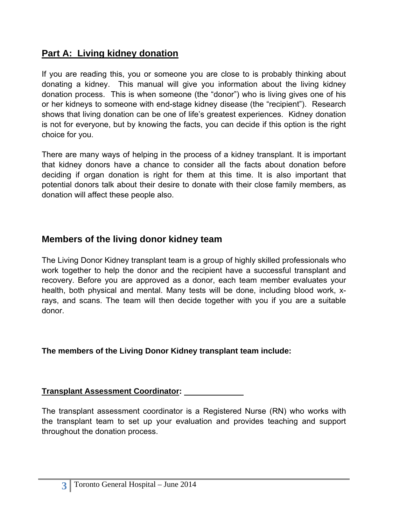# **Part A: Living kidney donation**

If you are reading this, you or someone you are close to is probably thinking about donating a kidney. This manual will give you information about the living kidney donation process. This is when someone (the "donor") who is living gives one of his or her kidneys to someone with end-stage kidney disease (the "recipient"). Research shows that living donation can be one of life's greatest experiences. Kidney donation is not for everyone, but by knowing the facts, you can decide if this option is the right choice for you.

There are many ways of helping in the process of a kidney transplant. It is important that kidney donors have a chance to consider all the facts about donation before deciding if organ donation is right for them at this time. It is also important that potential donors talk about their desire to donate with their close family members, as donation will affect these people also.

# **Members of the living donor kidney team**

The Living Donor Kidney transplant team is a group of highly skilled professionals who work together to help the donor and the recipient have a successful transplant and recovery. Before you are approved as a donor, each team member evaluates your health, both physical and mental. Many tests will be done, including blood work, xrays, and scans. The team will then decide together with you if you are a suitable donor.

#### **The members of the Living Donor Kidney transplant team include:**

#### **Transplant Assessment Coordinator: .**

The transplant assessment coordinator is a Registered Nurse (RN) who works with the transplant team to set up your evaluation and provides teaching and support throughout the donation process.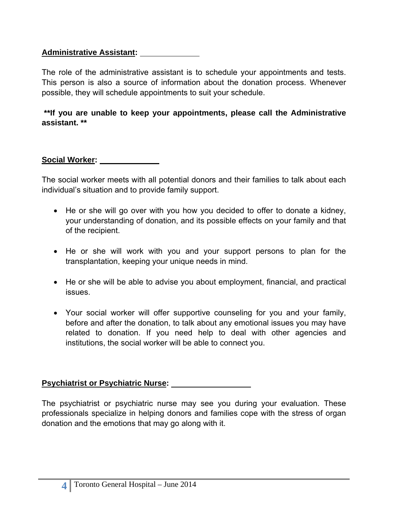#### **Administrative Assistant:** .

The role of the administrative assistant is to schedule your appointments and tests. This person is also a source of information about the donation process. Whenever possible, they will schedule appointments to suit your schedule.

**\*\*If you are unable to keep your appointments, please call the Administrative assistant. \*\***

#### **Social Worker: .**

The social worker meets with all potential donors and their families to talk about each individual's situation and to provide family support.

- He or she will go over with you how you decided to offer to donate a kidney, your understanding of donation, and its possible effects on your family and that of the recipient.
- He or she will work with you and your support persons to plan for the transplantation, keeping your unique needs in mind.
- He or she will be able to advise you about employment, financial, and practical issues.
- Your social worker will offer supportive counseling for you and your family, before and after the donation, to talk about any emotional issues you may have related to donation. If you need help to deal with other agencies and institutions, the social worker will be able to connect you.

#### **Psychiatrist or Psychiatric Nurse:** .

The psychiatrist or psychiatric nurse may see you during your evaluation. These professionals specialize in helping donors and families cope with the stress of organ donation and the emotions that may go along with it.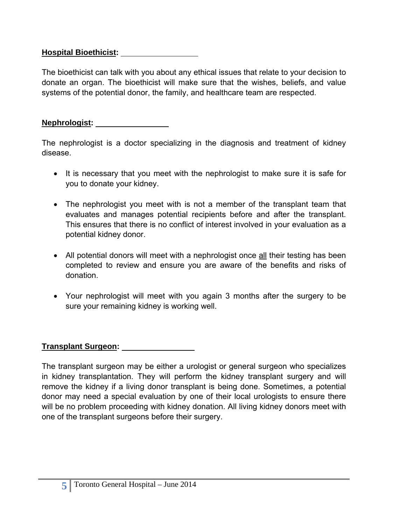## **Hospital Bioethicist:** .

The bioethicist can talk with you about any ethical issues that relate to your decision to donate an organ. The bioethicist will make sure that the wishes, beliefs, and value systems of the potential donor, the family, and healthcare team are respected.

## **Nephrologist:** .

The nephrologist is a doctor specializing in the diagnosis and treatment of kidney disease.

- It is necessary that you meet with the nephrologist to make sure it is safe for you to donate your kidney.
- The nephrologist you meet with is not a member of the transplant team that evaluates and manages potential recipients before and after the transplant. This ensures that there is no conflict of interest involved in your evaluation as a potential kidney donor.
- All potential donors will meet with a nephrologist once all their testing has been completed to review and ensure you are aware of the benefits and risks of donation.
- Your nephrologist will meet with you again 3 months after the surgery to be sure your remaining kidney is working well.

#### **Transplant Surgeon: .**

The transplant surgeon may be either a urologist or general surgeon who specializes in kidney transplantation. They will perform the kidney transplant surgery and will remove the kidney if a living donor transplant is being done. Sometimes, a potential donor may need a special evaluation by one of their local urologists to ensure there will be no problem proceeding with kidney donation. All living kidney donors meet with one of the transplant surgeons before their surgery.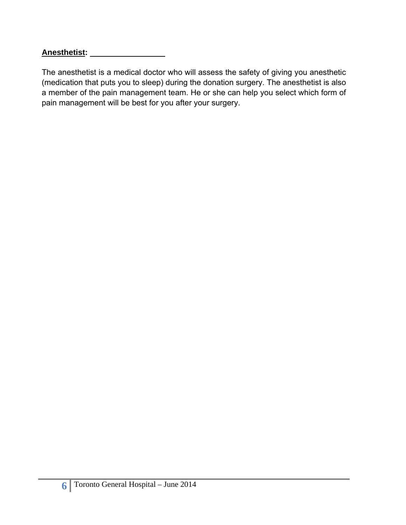#### **Anesthetist: .**

The anesthetist is a medical doctor who will assess the safety of giving you anesthetic (medication that puts you to sleep) during the donation surgery. The anesthetist is also a member of the pain management team. He or she can help you select which form of pain management will be best for you after your surgery.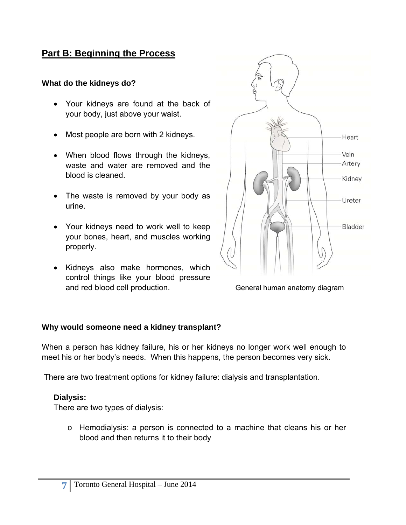# **Part B: Beginning the Process**

#### **What do the kidneys do?**

- Your kidneys are found at the back of your body, just above your waist.
- Most people are born with 2 kidneys.
- When blood flows through the kidneys, waste and water are removed and the blood is cleaned.
- The waste is removed by your body as urine.
- Your kidneys need to work well to keep your bones, heart, and muscles working properly.
- Kidneys also make hormones, which control things like your blood pressure and red blood cell production. General human anatomy diagram



#### **Why would someone need a kidney transplant?**

When a person has kidney failure, his or her kidneys no longer work well enough to meet his or her body's needs. When this happens, the person becomes very sick.

There are two treatment options for kidney failure: dialysis and transplantation.

#### **Dialysis:**

There are two types of dialysis:

o Hemodialysis: a person is connected to a machine that cleans his or her blood and then returns it to their body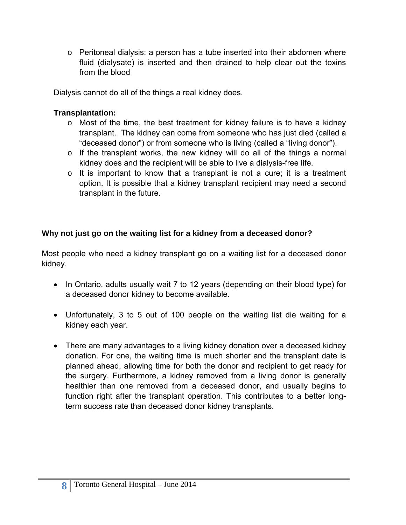$\circ$  Peritoneal dialysis: a person has a tube inserted into their abdomen where fluid (dialysate) is inserted and then drained to help clear out the toxins from the blood

Dialysis cannot do all of the things a real kidney does.

#### **Transplantation:**

- o Most of the time, the best treatment for kidney failure is to have a kidney transplant. The kidney can come from someone who has just died (called a "deceased donor") or from someone who is living (called a "living donor").
- o If the transplant works, the new kidney will do all of the things a normal kidney does and the recipient will be able to live a dialysis-free life.
- o It is important to know that a transplant is not a cure; it is a treatment option. It is possible that a kidney transplant recipient may need a second transplant in the future.

#### **Why not just go on the waiting list for a kidney from a deceased donor?**

Most people who need a kidney transplant go on a waiting list for a deceased donor kidney.

- In Ontario, adults usually wait 7 to 12 years (depending on their blood type) for a deceased donor kidney to become available.
- Unfortunately, 3 to 5 out of 100 people on the waiting list die waiting for a kidney each year.
- There are many advantages to a living kidney donation over a deceased kidney donation. For one, the waiting time is much shorter and the transplant date is planned ahead, allowing time for both the donor and recipient to get ready for the surgery. Furthermore, a kidney removed from a living donor is generally healthier than one removed from a deceased donor, and usually begins to function right after the transplant operation. This contributes to a better longterm success rate than deceased donor kidney transplants.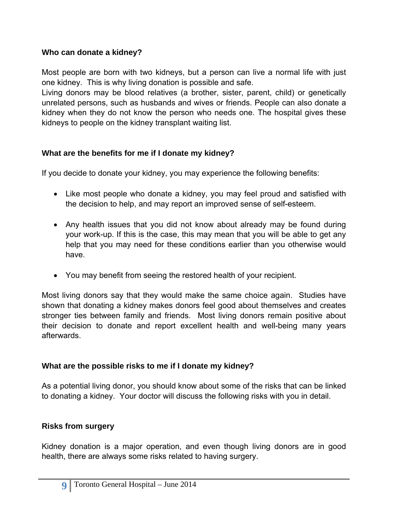#### **Who can donate a kidney?**

Most people are born with two kidneys, but a person can live a normal life with just one kidney. This is why living donation is possible and safe.

Living donors may be blood relatives (a brother, sister, parent, child) or genetically unrelated persons, such as husbands and wives or friends. People can also donate a kidney when they do not know the person who needs one. The hospital gives these kidneys to people on the kidney transplant waiting list.

#### **What are the benefits for me if I donate my kidney?**

If you decide to donate your kidney, you may experience the following benefits:

- Like most people who donate a kidney, you may feel proud and satisfied with the decision to help, and may report an improved sense of self-esteem.
- Any health issues that you did not know about already may be found during your work-up. If this is the case, this may mean that you will be able to get any help that you may need for these conditions earlier than you otherwise would have.
- You may benefit from seeing the restored health of your recipient.

Most living donors say that they would make the same choice again. Studies have shown that donating a kidney makes donors feel good about themselves and creates stronger ties between family and friends. Most living donors remain positive about their decision to donate and report excellent health and well-being many years afterwards.

#### **What are the possible risks to me if I donate my kidney?**

As a potential living donor, you should know about some of the risks that can be linked to donating a kidney. Your doctor will discuss the following risks with you in detail.

#### **Risks from surgery**

Kidney donation is a major operation, and even though living donors are in good health, there are always some risks related to having surgery.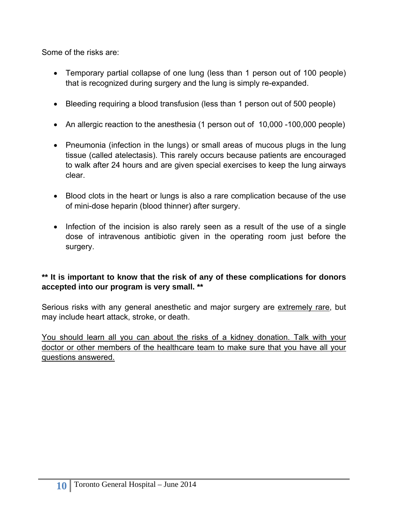Some of the risks are:

- Temporary partial collapse of one lung (less than 1 person out of 100 people) that is recognized during surgery and the lung is simply re-expanded.
- Bleeding requiring a blood transfusion (less than 1 person out of 500 people)
- An allergic reaction to the anesthesia (1 person out of 10,000 -100,000 people)
- Pneumonia (infection in the lungs) or small areas of mucous plugs in the lung tissue (called atelectasis). This rarely occurs because patients are encouraged to walk after 24 hours and are given special exercises to keep the lung airways clear.
- Blood clots in the heart or lungs is also a rare complication because of the use of mini-dose heparin (blood thinner) after surgery.
- Infection of the incision is also rarely seen as a result of the use of a single dose of intravenous antibiotic given in the operating room just before the surgery.

#### **\*\* It is important to know that the risk of any of these complications for donors accepted into our program is very small. \*\***

Serious risks with any general anesthetic and major surgery are extremely rare, but may include heart attack, stroke, or death.

You should learn all you can about the risks of a kidney donation. Talk with your doctor or other members of the healthcare team to make sure that you have all your questions answered.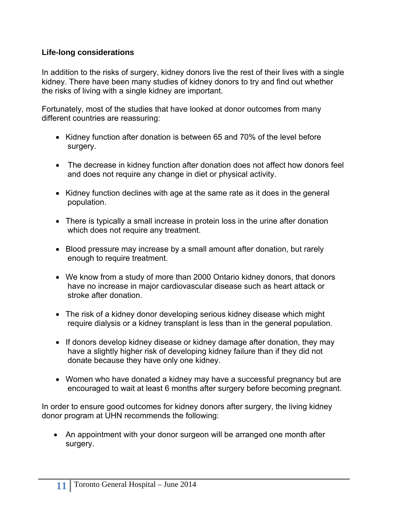#### **Life-long considerations**

In addition to the risks of surgery, kidney donors live the rest of their lives with a single kidney. There have been many studies of kidney donors to try and find out whether the risks of living with a single kidney are important.

Fortunately, most of the studies that have looked at donor outcomes from many different countries are reassuring:

- Kidney function after donation is between 65 and 70% of the level before surgery.
- The decrease in kidney function after donation does not affect how donors feel and does not require any change in diet or physical activity.
- Kidney function declines with age at the same rate as it does in the general population.
- There is typically a small increase in protein loss in the urine after donation which does not require any treatment.
- Blood pressure may increase by a small amount after donation, but rarely enough to require treatment.
- We know from a study of more than 2000 Ontario kidney donors, that donors have no increase in major cardiovascular disease such as heart attack or stroke after donation.
- The risk of a kidney donor developing serious kidney disease which might require dialysis or a kidney transplant is less than in the general population.
- If donors develop kidney disease or kidney damage after donation, they may have a slightly higher risk of developing kidney failure than if they did not donate because they have only one kidney.
- Women who have donated a kidney may have a successful pregnancy but are encouraged to wait at least 6 months after surgery before becoming pregnant.

In order to ensure good outcomes for kidney donors after surgery, the living kidney donor program at UHN recommends the following:

• An appointment with your donor surgeon will be arranged one month after surgery.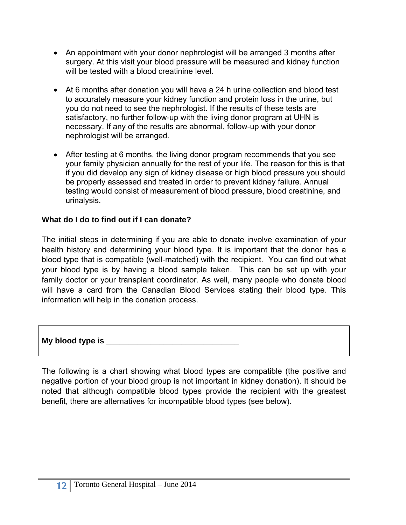- An appointment with your donor nephrologist will be arranged 3 months after surgery. At this visit your blood pressure will be measured and kidney function will be tested with a blood creatinine level.
- At 6 months after donation you will have a 24 h urine collection and blood test to accurately measure your kidney function and protein loss in the urine, but you do not need to see the nephrologist. If the results of these tests are satisfactory, no further follow-up with the living donor program at UHN is necessary. If any of the results are abnormal, follow-up with your donor nephrologist will be arranged.
- After testing at 6 months, the living donor program recommends that you see your family physician annually for the rest of your life. The reason for this is that if you did develop any sign of kidney disease or high blood pressure you should be properly assessed and treated in order to prevent kidney failure. Annual testing would consist of measurement of blood pressure, blood creatinine, and urinalysis.

#### **What do I do to find out if I can donate?**

The initial steps in determining if you are able to donate involve examination of your health history and determining your blood type. It is important that the donor has a blood type that is compatible (well-matched) with the recipient. You can find out what your blood type is by having a blood sample taken. This can be set up with your family doctor or your transplant coordinator. As well, many people who donate blood will have a card from the Canadian Blood Services stating their blood type. This information will help in the donation process.

**My blood type is \_\_\_\_\_\_\_\_\_\_\_\_\_\_\_\_\_\_\_\_\_\_\_\_\_\_\_\_\_\_** 

The following is a chart showing what blood types are compatible (the positive and negative portion of your blood group is not important in kidney donation). It should be noted that although compatible blood types provide the recipient with the greatest benefit, there are alternatives for incompatible blood types (see below).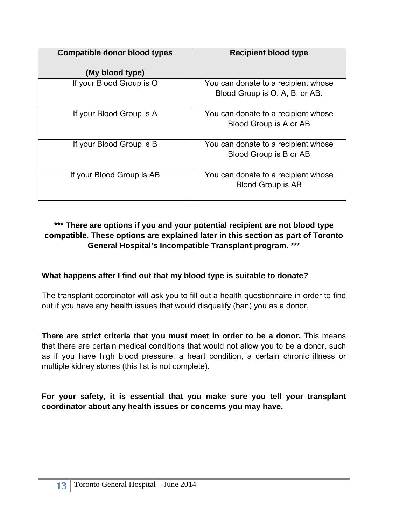| <b>Compatible donor blood types</b> | <b>Recipient blood type</b>                                           |  |
|-------------------------------------|-----------------------------------------------------------------------|--|
| (My blood type)                     |                                                                       |  |
| If your Blood Group is O            | You can donate to a recipient whose<br>Blood Group is O, A, B, or AB. |  |
| If your Blood Group is A            | You can donate to a recipient whose<br>Blood Group is A or AB         |  |
| If your Blood Group is B            | You can donate to a recipient whose<br>Blood Group is B or AB         |  |
| If your Blood Group is AB           | You can donate to a recipient whose<br><b>Blood Group is AB</b>       |  |

#### **\*\*\* There are options if you and your potential recipient are not blood type compatible. These options are explained later in this section as part of Toronto General Hospital's Incompatible Transplant program. \*\*\***

#### **What happens after I find out that my blood type is suitable to donate?**

The transplant coordinator will ask you to fill out a health questionnaire in order to find out if you have any health issues that would disqualify (ban) you as a donor.

**There are strict criteria that you must meet in order to be a donor.** This means that there are certain medical conditions that would not allow you to be a donor, such as if you have high blood pressure, a heart condition, a certain chronic illness or multiple kidney stones (this list is not complete).

**For your safety, it is essential that you make sure you tell your transplant coordinator about any health issues or concerns you may have.**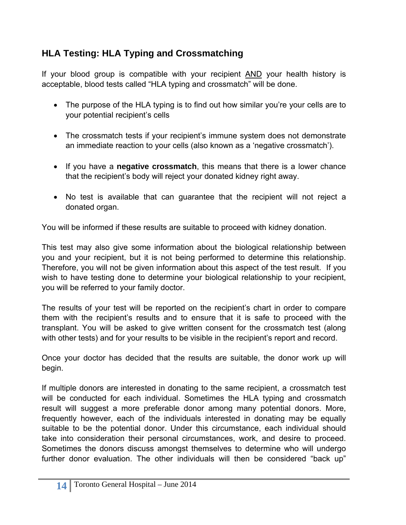# **HLA Testing: HLA Typing and Crossmatching**

If your blood group is compatible with your recipient AND your health history is acceptable, blood tests called "HLA typing and crossmatch" will be done.

- The purpose of the HLA typing is to find out how similar you're your cells are to your potential recipient's cells
- The crossmatch tests if your recipient's immune system does not demonstrate an immediate reaction to your cells (also known as a 'negative crossmatch').
- If you have a **negative crossmatch**, this means that there is a lower chance that the recipient's body will reject your donated kidney right away.
- No test is available that can guarantee that the recipient will not reject a donated organ.

You will be informed if these results are suitable to proceed with kidney donation.

This test may also give some information about the biological relationship between you and your recipient, but it is not being performed to determine this relationship. Therefore, you will not be given information about this aspect of the test result. If you wish to have testing done to determine your biological relationship to your recipient, you will be referred to your family doctor.

The results of your test will be reported on the recipient's chart in order to compare them with the recipient's results and to ensure that it is safe to proceed with the transplant. You will be asked to give written consent for the crossmatch test (along with other tests) and for your results to be visible in the recipient's report and record.

Once your doctor has decided that the results are suitable, the donor work up will begin.

If multiple donors are interested in donating to the same recipient, a crossmatch test will be conducted for each individual. Sometimes the HLA typing and crossmatch result will suggest a more preferable donor among many potential donors. More, frequently however, each of the individuals interested in donating may be equally suitable to be the potential donor. Under this circumstance, each individual should take into consideration their personal circumstances, work, and desire to proceed. Sometimes the donors discuss amongst themselves to determine who will undergo further donor evaluation. The other individuals will then be considered "back up"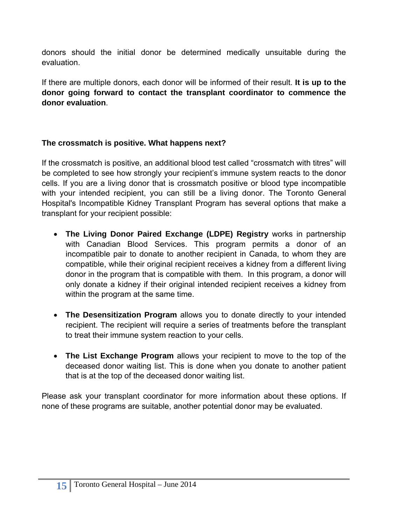donors should the initial donor be determined medically unsuitable during the evaluation.

If there are multiple donors, each donor will be informed of their result. **It is up to the donor going forward to contact the transplant coordinator to commence the donor evaluation**.

#### **The crossmatch is positive. What happens next?**

If the crossmatch is positive, an additional blood test called "crossmatch with titres" will be completed to see how strongly your recipient's immune system reacts to the donor cells. If you are a living donor that is crossmatch positive or blood type incompatible with your intended recipient, you can still be a living donor. The Toronto General Hospital's Incompatible Kidney Transplant Program has several options that make a transplant for your recipient possible:

- **The Living Donor Paired Exchange (LDPE) Registry** works in partnership with Canadian Blood Services. This program permits a donor of an incompatible pair to donate to another recipient in Canada, to whom they are compatible, while their original recipient receives a kidney from a different living donor in the program that is compatible with them. In this program, a donor will only donate a kidney if their original intended recipient receives a kidney from within the program at the same time.
- **The Desensitization Program** allows you to donate directly to your intended recipient. The recipient will require a series of treatments before the transplant to treat their immune system reaction to your cells.
- **The List Exchange Program** allows your recipient to move to the top of the deceased donor waiting list. This is done when you donate to another patient that is at the top of the deceased donor waiting list.

Please ask your transplant coordinator for more information about these options. If none of these programs are suitable, another potential donor may be evaluated.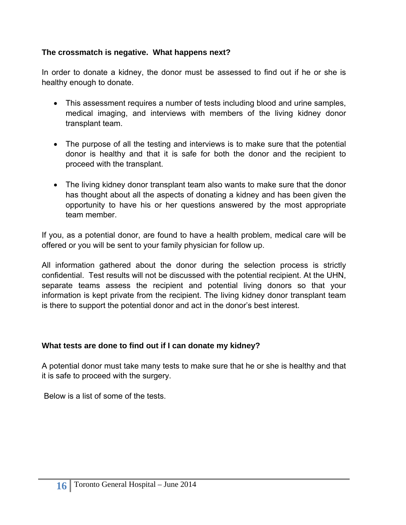#### **The crossmatch is negative. What happens next?**

In order to donate a kidney, the donor must be assessed to find out if he or she is healthy enough to donate.

- This assessment requires a number of tests including blood and urine samples, medical imaging, and interviews with members of the living kidney donor transplant team.
- The purpose of all the testing and interviews is to make sure that the potential donor is healthy and that it is safe for both the donor and the recipient to proceed with the transplant.
- The living kidney donor transplant team also wants to make sure that the donor has thought about all the aspects of donating a kidney and has been given the opportunity to have his or her questions answered by the most appropriate team member.

If you, as a potential donor, are found to have a health problem, medical care will be offered or you will be sent to your family physician for follow up.

All information gathered about the donor during the selection process is strictly confidential. Test results will not be discussed with the potential recipient. At the UHN, separate teams assess the recipient and potential living donors so that your information is kept private from the recipient. The living kidney donor transplant team is there to support the potential donor and act in the donor's best interest.

#### **What tests are done to find out if I can donate my kidney?**

A potential donor must take many tests to make sure that he or she is healthy and that it is safe to proceed with the surgery.

Below is a list of some of the tests.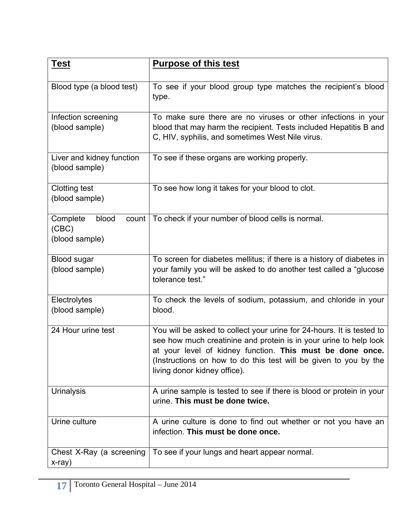| <u>Test</u>                                           | <b>Purpose of this test</b>                                                                                                                                                                                                                                                                                 |  |  |
|-------------------------------------------------------|-------------------------------------------------------------------------------------------------------------------------------------------------------------------------------------------------------------------------------------------------------------------------------------------------------------|--|--|
| Blood type (a blood test)                             | To see if your blood group type matches the recipient's blood<br>type.                                                                                                                                                                                                                                      |  |  |
| Infection screening<br>(blood sample)                 | To make sure there are no viruses or other infections in your<br>blood that may harm the recipient. Tests included Hepatitis B and<br>C, HIV, syphilis, and sometimes West Nile virus.                                                                                                                      |  |  |
| Liver and kidney function<br>(blood sample)           | To see if these organs are working properly.                                                                                                                                                                                                                                                                |  |  |
| Clotting test<br>(blood sample)                       | To see how long it takes for your blood to clot.                                                                                                                                                                                                                                                            |  |  |
| Complete<br>blood<br>count<br>(CBC)<br>(blood sample) | To check if your number of blood cells is normal.                                                                                                                                                                                                                                                           |  |  |
| <b>Blood sugar</b><br>(blood sample)                  | To screen for diabetes mellitus; if there is a history of diabetes in<br>your family you will be asked to do another test called a "glucose"<br>tolerance test."                                                                                                                                            |  |  |
| Electrolytes<br>(blood sample)                        | To check the levels of sodium, potassium, and chloride in your<br>blood.                                                                                                                                                                                                                                    |  |  |
| 24 Hour urine test                                    | You will be asked to collect your urine for 24-hours. It is tested to<br>see how much creatinine and protein is in your urine to help look<br>at your level of kidney function. This must be done once.<br>(Instructions on how to do this test will be given to you by the<br>living donor kidney office). |  |  |
| <b>Urinalysis</b>                                     | A urine sample is tested to see if there is blood or protein in your<br>urine. This must be done twice.                                                                                                                                                                                                     |  |  |
| Urine culture                                         | A urine culture is done to find out whether or not you have an<br>infection. This must be done once.                                                                                                                                                                                                        |  |  |
| Chest X-Ray (a screening<br>x-ray)                    | To see if your lungs and heart appear normal.                                                                                                                                                                                                                                                               |  |  |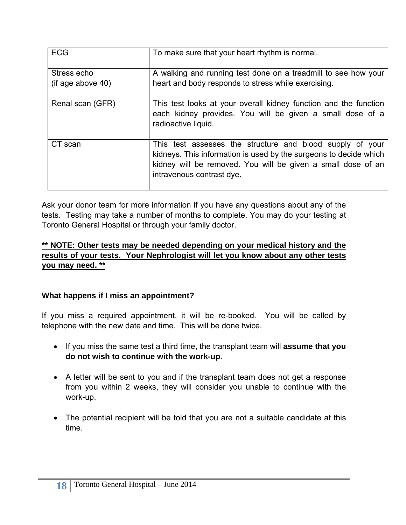| <b>ECG</b>        | To make sure that your heart rhythm is normal.                                                                                                                                                                              |  |  |
|-------------------|-----------------------------------------------------------------------------------------------------------------------------------------------------------------------------------------------------------------------------|--|--|
| Stress echo       | A walking and running test done on a treadmill to see how your                                                                                                                                                              |  |  |
| (if age above 40) | heart and body responds to stress while exercising.                                                                                                                                                                         |  |  |
| Renal scan (GFR)  | This test looks at your overall kidney function and the function<br>each kidney provides. You will be given a small dose of a<br>radioactive liquid.                                                                        |  |  |
| CT scan           | This test assesses the structure and blood supply of your<br>kidneys. This information is used by the surgeons to decide which<br>kidney will be removed. You will be given a small dose of an<br>intravenous contrast dye. |  |  |

Ask your donor team for more information if you have any questions about any of the tests. Testing may take a number of months to complete. You may do your testing at Toronto General Hospital or through your family doctor.

#### **\*\* NOTE: Other tests may be needed depending on your medical history and the results of your tests. Your Nephrologist will let you know about any other tests you may need. \*\***

#### **What happens if I miss an appointment?**

If you miss a required appointment, it will be re-booked. You will be called by telephone with the new date and time. This will be done twice.

- If you miss the same test a third time, the transplant team will **assume that you do not wish to continue with the work-up**.
- A letter will be sent to you and if the transplant team does not get a response from you within 2 weeks, they will consider you unable to continue with the work-up.
- The potential recipient will be told that you are not a suitable candidate at this time.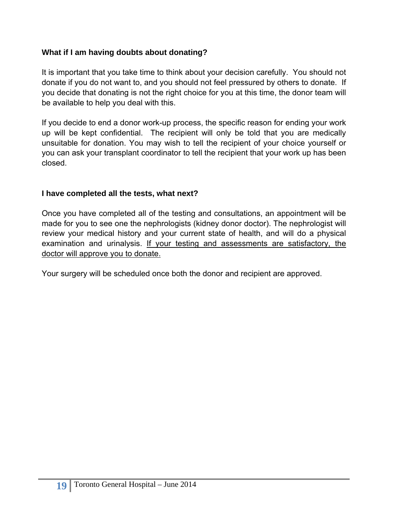#### **What if I am having doubts about donating?**

It is important that you take time to think about your decision carefully. You should not donate if you do not want to, and you should not feel pressured by others to donate. If you decide that donating is not the right choice for you at this time, the donor team will be available to help you deal with this.

If you decide to end a donor work-up process, the specific reason for ending your work up will be kept confidential. The recipient will only be told that you are medically unsuitable for donation. You may wish to tell the recipient of your choice yourself or you can ask your transplant coordinator to tell the recipient that your work up has been closed.

#### **I have completed all the tests, what next?**

Once you have completed all of the testing and consultations, an appointment will be made for you to see one the nephrologists (kidney donor doctor). The nephrologist will review your medical history and your current state of health, and will do a physical examination and urinalysis. If your testing and assessments are satisfactory, the doctor will approve you to donate.

Your surgery will be scheduled once both the donor and recipient are approved.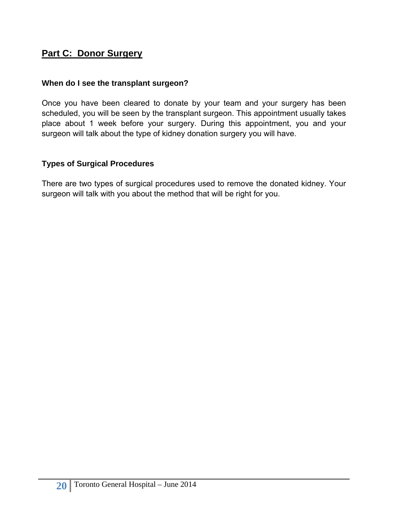# **Part C: Donor Surgery**

#### **When do I see the transplant surgeon?**

Once you have been cleared to donate by your team and your surgery has been scheduled, you will be seen by the transplant surgeon. This appointment usually takes place about 1 week before your surgery. During this appointment, you and your surgeon will talk about the type of kidney donation surgery you will have.

#### **Types of Surgical Procedures**

There are two types of surgical procedures used to remove the donated kidney. Your surgeon will talk with you about the method that will be right for you.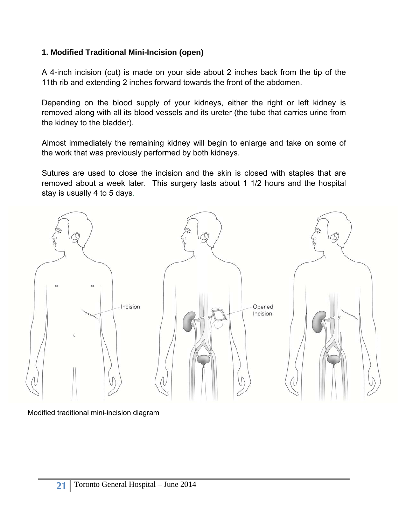#### **1. Modified Traditional Mini-Incision (open)**

A 4-inch incision (cut) is made on your side about 2 inches back from the tip of the 11th rib and extending 2 inches forward towards the front of the abdomen.

Depending on the blood supply of your kidneys, either the right or left kidney is removed along with all its blood vessels and its ureter (the tube that carries urine from the kidney to the bladder).

Almost immediately the remaining kidney will begin to enlarge and take on some of the work that was previously performed by both kidneys.

Sutures are used to close the incision and the skin is closed with staples that are removed about a week later. This surgery lasts about 1 1/2 hours and the hospital stay is usually 4 to 5 days.



Modified traditional mini-incision diagram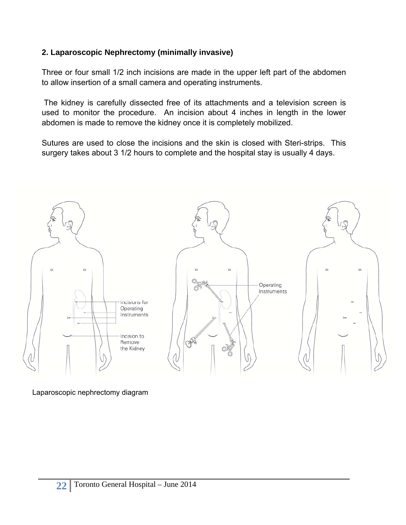#### **2. Laparoscopic Nephrectomy (minimally invasive)**

Three or four small 1/2 inch incisions are made in the upper left part of the abdomen to allow insertion of a small camera and operating instruments.

 The kidney is carefully dissected free of its attachments and a television screen is used to monitor the procedure. An incision about 4 inches in length in the lower abdomen is made to remove the kidney once it is completely mobilized.

Sutures are used to close the incisions and the skin is closed with Steri-strips. This surgery takes about 3 1/2 hours to complete and the hospital stay is usually 4 days.



Laparoscopic nephrectomy diagram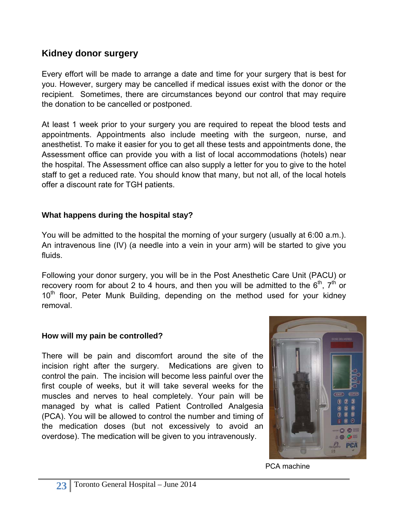# **Kidney donor surgery**

Every effort will be made to arrange a date and time for your surgery that is best for you. However, surgery may be cancelled if medical issues exist with the donor or the recipient. Sometimes, there are circumstances beyond our control that may require the donation to be cancelled or postponed.

At least 1 week prior to your surgery you are required to repeat the blood tests and appointments. Appointments also include meeting with the surgeon, nurse, and anesthetist. To make it easier for you to get all these tests and appointments done, the Assessment office can provide you with a list of local accommodations (hotels) near the hospital. The Assessment office can also supply a letter for you to give to the hotel staff to get a reduced rate. You should know that many, but not all, of the local hotels offer a discount rate for TGH patients.

## **What happens during the hospital stay?**

You will be admitted to the hospital the morning of your surgery (usually at 6:00 a.m.). An intravenous line (IV) (a needle into a vein in your arm) will be started to give you fluids.

Following your donor surgery, you will be in the Post Anesthetic Care Unit (PACU) or recovery room for about 2 to 4 hours, and then you will be admitted to the  $6<sup>th</sup>$ ,  $7<sup>th</sup>$  or 10<sup>th</sup> floor, Peter Munk Building, depending on the method used for your kidney removal.

#### **How will my pain be controlled?**

There will be pain and discomfort around the site of the incision right after the surgery. Medications are given to control the pain. The incision will become less painful over the first couple of weeks, but it will take several weeks for the muscles and nerves to heal completely. Your pain will be managed by what is called Patient Controlled Analgesia (PCA). You will be allowed to control the number and timing of the medication doses (but not excessively to avoid an overdose). The medication will be given to you intravenously.



PCA machine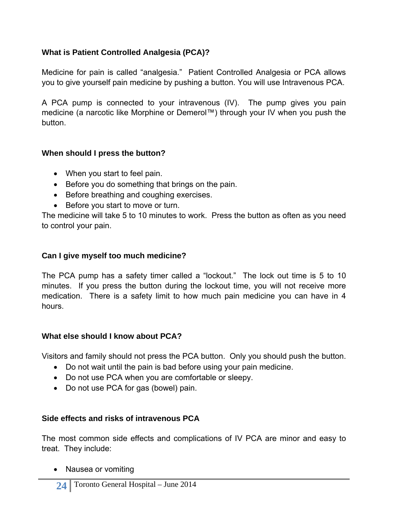## **What is Patient Controlled Analgesia (PCA)?**

Medicine for pain is called "analgesia." Patient Controlled Analgesia or PCA allows you to give yourself pain medicine by pushing a button. You will use Intravenous PCA.

A PCA pump is connected to your intravenous (IV). The pump gives you pain medicine (a narcotic like Morphine or Demerol™) through your IV when you push the button.

#### **When should I press the button?**

- When you start to feel pain.
- Before you do something that brings on the pain.
- Before breathing and coughing exercises.
- Before you start to move or turn.

The medicine will take 5 to 10 minutes to work. Press the button as often as you need to control your pain.

#### **Can I give myself too much medicine?**

The PCA pump has a safety timer called a "lockout." The lock out time is 5 to 10 minutes. If you press the button during the lockout time, you will not receive more medication. There is a safety limit to how much pain medicine you can have in 4 hours.

#### **What else should I know about PCA?**

Visitors and family should not press the PCA button. Only you should push the button.

- Do not wait until the pain is bad before using your pain medicine.
- Do not use PCA when you are comfortable or sleepy.
- Do not use PCA for gas (bowel) pain.

#### **Side effects and risks of intravenous PCA**

The most common side effects and complications of IV PCA are minor and easy to treat. They include:

• Nausea or vomiting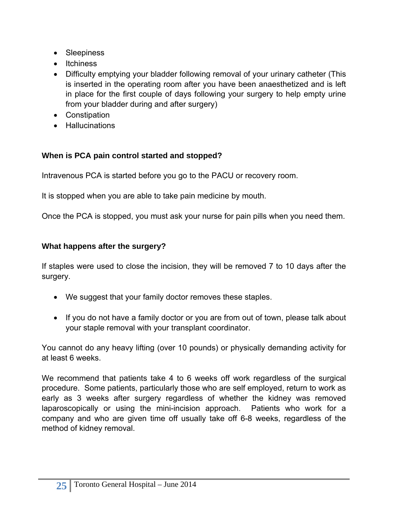- Sleepiness
- Itchiness
- Difficulty emptying your bladder following removal of your urinary catheter (This is inserted in the operating room after you have been anaesthetized and is left in place for the first couple of days following your surgery to help empty urine from your bladder during and after surgery)
- Constipation
- Hallucinations

## **When is PCA pain control started and stopped?**

Intravenous PCA is started before you go to the PACU or recovery room.

It is stopped when you are able to take pain medicine by mouth.

Once the PCA is stopped, you must ask your nurse for pain pills when you need them.

## **What happens after the surgery?**

If staples were used to close the incision, they will be removed 7 to 10 days after the surgery.

- We suggest that your family doctor removes these staples.
- If you do not have a family doctor or you are from out of town, please talk about your staple removal with your transplant coordinator.

You cannot do any heavy lifting (over 10 pounds) or physically demanding activity for at least 6 weeks.

We recommend that patients take 4 to 6 weeks off work regardless of the surgical procedure. Some patients, particularly those who are self employed, return to work as early as 3 weeks after surgery regardless of whether the kidney was removed laparoscopically or using the mini-incision approach. Patients who work for a company and who are given time off usually take off 6-8 weeks, regardless of the method of kidney removal.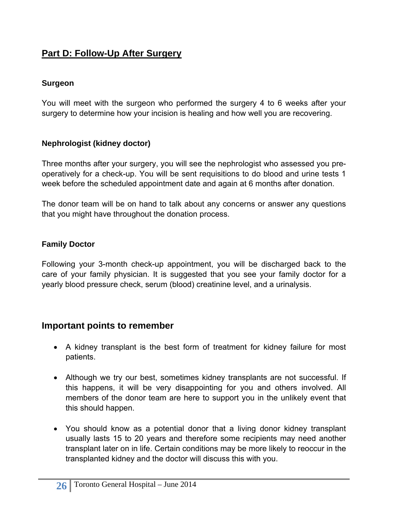# **Part D: Follow-Up After Surgery**

#### **Surgeon**

You will meet with the surgeon who performed the surgery 4 to 6 weeks after your surgery to determine how your incision is healing and how well you are recovering.

## **Nephrologist (kidney doctor)**

Three months after your surgery, you will see the nephrologist who assessed you preoperatively for a check-up. You will be sent requisitions to do blood and urine tests 1 week before the scheduled appointment date and again at 6 months after donation.

The donor team will be on hand to talk about any concerns or answer any questions that you might have throughout the donation process.

#### **Family Doctor**

Following your 3-month check-up appointment, you will be discharged back to the care of your family physician. It is suggested that you see your family doctor for a yearly blood pressure check, serum (blood) creatinine level, and a urinalysis.

# **Important points to remember**

- A kidney transplant is the best form of treatment for kidney failure for most patients.
- Although we try our best, sometimes kidney transplants are not successful. If this happens, it will be very disappointing for you and others involved. All members of the donor team are here to support you in the unlikely event that this should happen.
- You should know as a potential donor that a living donor kidney transplant usually lasts 15 to 20 years and therefore some recipients may need another transplant later on in life. Certain conditions may be more likely to reoccur in the transplanted kidney and the doctor will discuss this with you.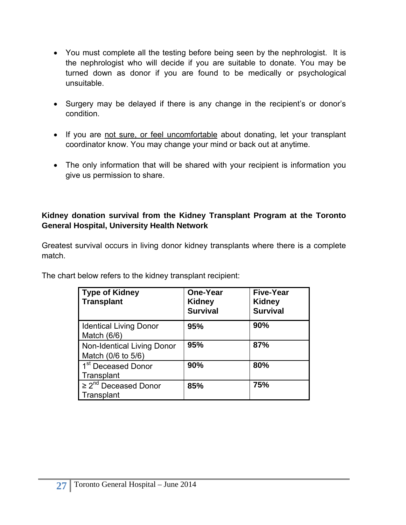- You must complete all the testing before being seen by the nephrologist. It is the nephrologist who will decide if you are suitable to donate. You may be turned down as donor if you are found to be medically or psychological unsuitable.
- Surgery may be delayed if there is any change in the recipient's or donor's condition.
- If you are not sure, or feel uncomfortable about donating, let your transplant coordinator know. You may change your mind or back out at anytime.
- The only information that will be shared with your recipient is information you give us permission to share.

#### **Kidney donation survival from the Kidney Transplant Program at the Toronto General Hospital, University Health Network**

Greatest survival occurs in living donor kidney transplants where there is a complete match.

| The chart below refers to the kidney transplant recipient: |  |  |
|------------------------------------------------------------|--|--|
|                                                            |  |  |
|                                                            |  |  |

| <b>Type of Kidney</b><br><b>Transplant</b>       | <b>One-Year</b><br><b>Kidney</b><br><b>Survival</b> | <b>Five-Year</b><br><b>Kidney</b><br><b>Survival</b> |
|--------------------------------------------------|-----------------------------------------------------|------------------------------------------------------|
| <b>Identical Living Donor</b><br>Match (6/6)     | 95%                                                 | 90%                                                  |
| Non-Identical Living Donor<br>Match (0/6 to 5/6) | 95%                                                 | 87%                                                  |
| 1 <sup>st</sup> Deceased Donor<br>Transplant     | 90%                                                 | 80%                                                  |
| $\geq 2^{nd}$ Deceased Donor<br>Transplant       | 85%                                                 | <b>75%</b>                                           |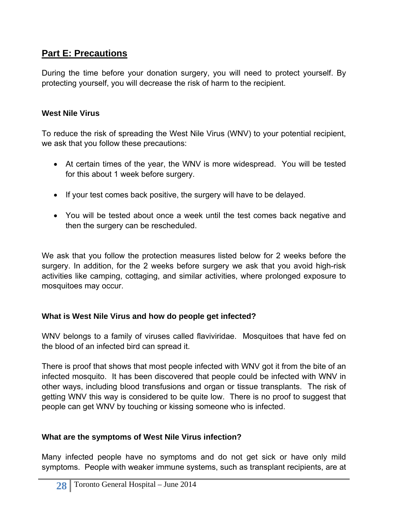# **Part E: Precautions**

During the time before your donation surgery, you will need to protect yourself. By protecting yourself, you will decrease the risk of harm to the recipient.

### **West Nile Virus**

To reduce the risk of spreading the West Nile Virus (WNV) to your potential recipient, we ask that you follow these precautions:

- At certain times of the year, the WNV is more widespread. You will be tested for this about 1 week before surgery.
- If your test comes back positive, the surgery will have to be delayed.
- You will be tested about once a week until the test comes back negative and then the surgery can be rescheduled.

We ask that you follow the protection measures listed below for 2 weeks before the surgery. In addition, for the 2 weeks before surgery we ask that you avoid high-risk activities like camping, cottaging, and similar activities, where prolonged exposure to mosquitoes may occur.

## **What is West Nile Virus and how do people get infected?**

WNV belongs to a family of viruses called flaviviridae. Mosquitoes that have fed on the blood of an infected bird can spread it.

There is proof that shows that most people infected with WNV got it from the bite of an infected mosquito. It has been discovered that people could be infected with WNV in other ways, including blood transfusions and organ or tissue transplants. The risk of getting WNV this way is considered to be quite low. There is no proof to suggest that people can get WNV by touching or kissing someone who is infected.

## **What are the symptoms of West Nile Virus infection?**

Many infected people have no symptoms and do not get sick or have only mild symptoms. People with weaker immune systems, such as transplant recipients, are at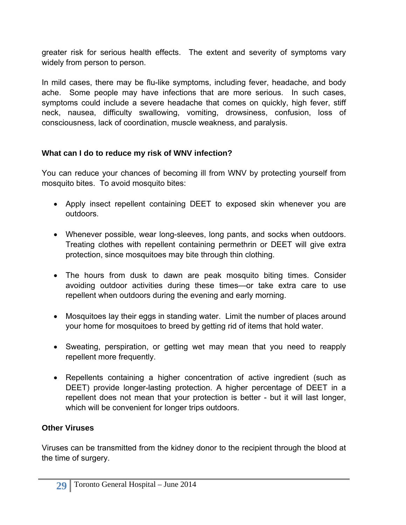greater risk for serious health effects. The extent and severity of symptoms vary widely from person to person.

In mild cases, there may be flu-like symptoms, including fever, headache, and body ache. Some people may have infections that are more serious. In such cases, symptoms could include a severe headache that comes on quickly, high fever, stiff neck, nausea, difficulty swallowing, vomiting, drowsiness, confusion, loss of consciousness, lack of coordination, muscle weakness, and paralysis.

## **What can I do to reduce my risk of WNV infection?**

You can reduce your chances of becoming ill from WNV by protecting yourself from mosquito bites. To avoid mosquito bites:

- Apply insect repellent containing DEET to exposed skin whenever you are outdoors.
- Whenever possible, wear long-sleeves, long pants, and socks when outdoors. Treating clothes with repellent containing permethrin or DEET will give extra protection, since mosquitoes may bite through thin clothing.
- The hours from dusk to dawn are peak mosquito biting times. Consider avoiding outdoor activities during these times—or take extra care to use repellent when outdoors during the evening and early morning.
- Mosquitoes lay their eggs in standing water. Limit the number of places around your home for mosquitoes to breed by getting rid of items that hold water.
- Sweating, perspiration, or getting wet may mean that you need to reapply repellent more frequently.
- Repellents containing a higher concentration of active ingredient (such as DEET) provide longer-lasting protection. A higher percentage of DEET in a repellent does not mean that your protection is better - but it will last longer, which will be convenient for longer trips outdoors.

#### **Other Viruses**

Viruses can be transmitted from the kidney donor to the recipient through the blood at the time of surgery.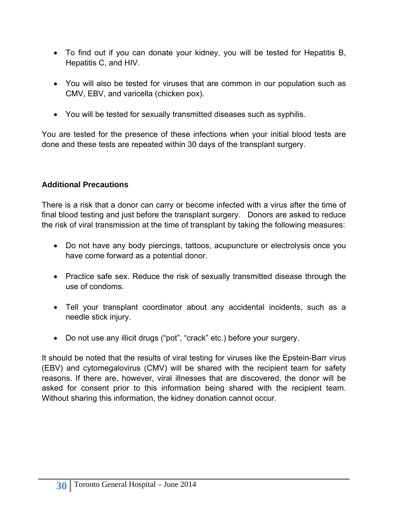- To find out if you can donate your kidney, you will be tested for Hepatitis B, Hepatitis C, and HIV.
- You will also be tested for viruses that are common in our population such as CMV, EBV, and varicella (chicken pox).
- You will be tested for sexually transmitted diseases such as syphilis.

You are tested for the presence of these infections when your initial blood tests are done and these tests are repeated within 30 days of the transplant surgery.

## **Additional Precautions**

There is a risk that a donor can carry or become infected with a virus after the time of final blood testing and just before the transplant surgery. Donors are asked to reduce the risk of viral transmission at the time of transplant by taking the following measures:

- Do not have any body piercings, tattoos, acupuncture or electrolysis once you have come forward as a potential donor.
- Practice safe sex. Reduce the risk of sexually transmitted disease through the use of condoms.
- Tell your transplant coordinator about any accidental incidents, such as a needle stick injury.
- Do not use any illicit drugs ("pot", "crack" etc.) before your surgery.

It should be noted that the results of viral testing for viruses like the Epstein-Barr virus (EBV) and cytomegalovirus (CMV) will be shared with the recipient team for safety reasons. If there are, however, viral illnesses that are discovered, the donor will be asked for consent prior to this information being shared with the recipient team. Without sharing this information, the kidney donation cannot occur.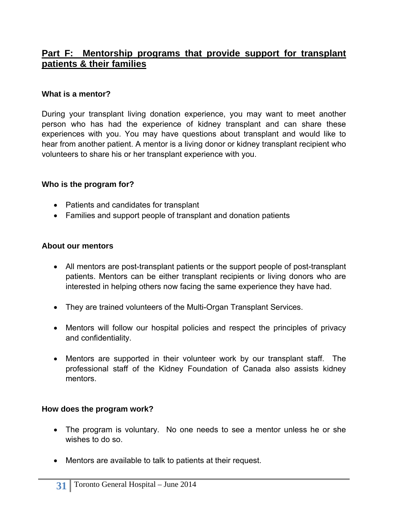## **Part F: Mentorship programs that provide support for transplant patients & their families**

#### **What is a mentor?**

During your transplant living donation experience, you may want to meet another person who has had the experience of kidney transplant and can share these experiences with you. You may have questions about transplant and would like to hear from another patient. A mentor is a living donor or kidney transplant recipient who volunteers to share his or her transplant experience with you.

#### **Who is the program for?**

- Patients and candidates for transplant
- Families and support people of transplant and donation patients

#### **About our mentors**

- All mentors are post-transplant patients or the support people of post-transplant patients. Mentors can be either transplant recipients or living donors who are interested in helping others now facing the same experience they have had.
- They are trained volunteers of the Multi-Organ Transplant Services.
- Mentors will follow our hospital policies and respect the principles of privacy and confidentiality.
- Mentors are supported in their volunteer work by our transplant staff. The professional staff of the Kidney Foundation of Canada also assists kidney mentors.

#### **How does the program work?**

- The program is voluntary. No one needs to see a mentor unless he or she wishes to do so.
- Mentors are available to talk to patients at their request.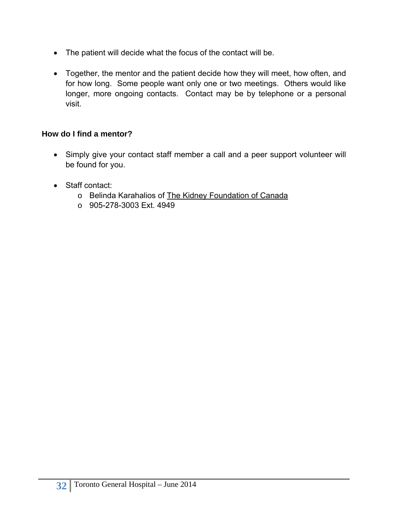- The patient will decide what the focus of the contact will be.
- Together, the mentor and the patient decide how they will meet, how often, and for how long. Some people want only one or two meetings. Others would like longer, more ongoing contacts. Contact may be by telephone or a personal visit.

## **How do I find a mentor?**

- Simply give your contact staff member a call and a peer support volunteer will be found for you.
- Staff contact:
	- o Belinda Karahalios of The Kidney Foundation of Canada
	- o 905-278-3003 Ext. 4949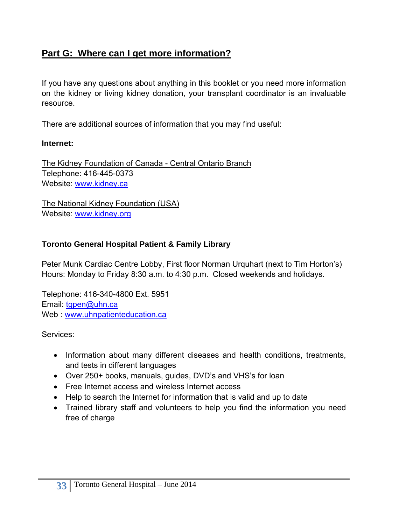# **Part G: Where can I get more information?**

If you have any questions about anything in this booklet or you need more information on the kidney or living kidney donation, your transplant coordinator is an invaluable resource.

There are additional sources of information that you may find useful:

#### **Internet:**

The Kidney Foundation of Canada - Central Ontario Branch Telephone: 416-445-0373 Website: www.kidney.ca

The National Kidney Foundation (USA) Website: www.kidney.org

#### **Toronto General Hospital Patient & Family Library**

Peter Munk Cardiac Centre Lobby, First floor Norman Urquhart (next to Tim Horton's) Hours: Monday to Friday 8:30 a.m. to 4:30 p.m. Closed weekends and holidays.

Telephone: 416-340-4800 Ext. 5951 Email: tgpen@uhn.ca Web : www.uhnpatienteducation.ca

Services:

- Information about many different diseases and health conditions, treatments, and tests in different languages
- Over 250+ books, manuals, guides, DVD's and VHS's for loan
- Free Internet access and wireless Internet access
- Help to search the Internet for information that is valid and up to date
- Trained library staff and volunteers to help you find the information you need free of charge